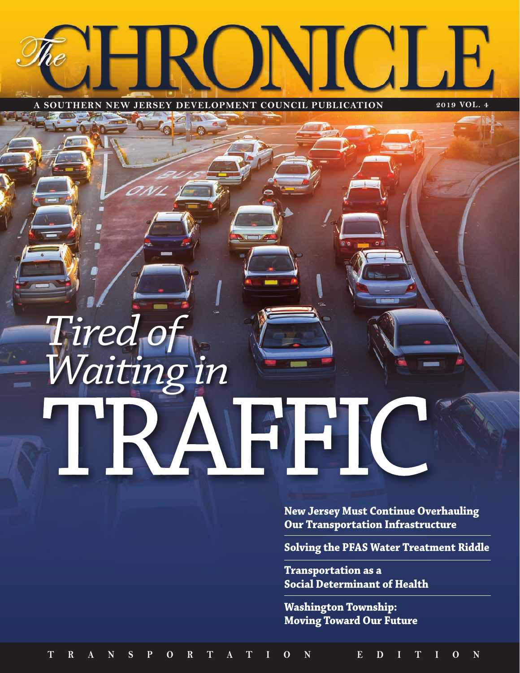# **Gil**

**A SOUTHERN NEW JERSEY DEVELOPMENT COUNCIL PUBLICATION 2018 VOL. 4 A SOUTHERN NEW JERSEY DEVELOPMENT COUNCIL PUBLICATION 2019 VOL. 4**

## TRAFFIC *Tired of Waiting in*

**New Jersey Must Continue Overhauling Our Transportation Infrastructure** 

**Solving the PFAS Water Treatment Riddle** 

**Transportation as a Social Determinant of Health** 

**Washington Township: Moving Toward Our Future**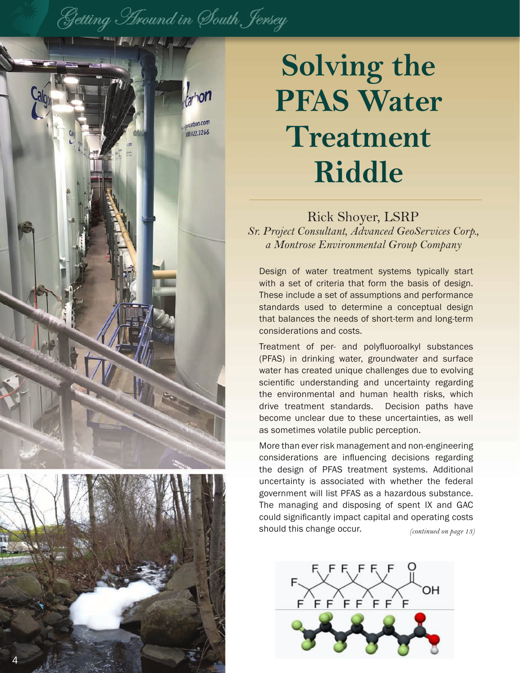## Getting Around in South Jersey





## **Solving the PFAS Water Treatment Riddle**

#### Rick Shoyer, LSRP

*Sr. Project Consultant, Advanced GeoServices Corp., a Montrose Environmental Group Company*

Design of water treatment systems typically start with a set of criteria that form the basis of design. These include a set of assumptions and performance standards used to determine a conceptual design that balances the needs of short-term and long-term considerations and costs.

Treatment of per- and polyfluoroalkyl substances (PFAS) in drinking water, groundwater and surface water has created unique challenges due to evolving scientific understanding and uncertainty regarding the environmental and human health risks, which drive treatment standards. Decision paths have become unclear due to these uncertainties, as well as sometimes volatile public perception.

More than ever risk management and non-engineering considerations are influencing decisions regarding the design of PFAS treatment systems. Additional uncertainty is associated with whether the federal government will list PFAS as a hazardous substance. The managing and disposing of spent IX and GAC could significantly impact capital and operating costs should this change occur. *(continued on page 13)*